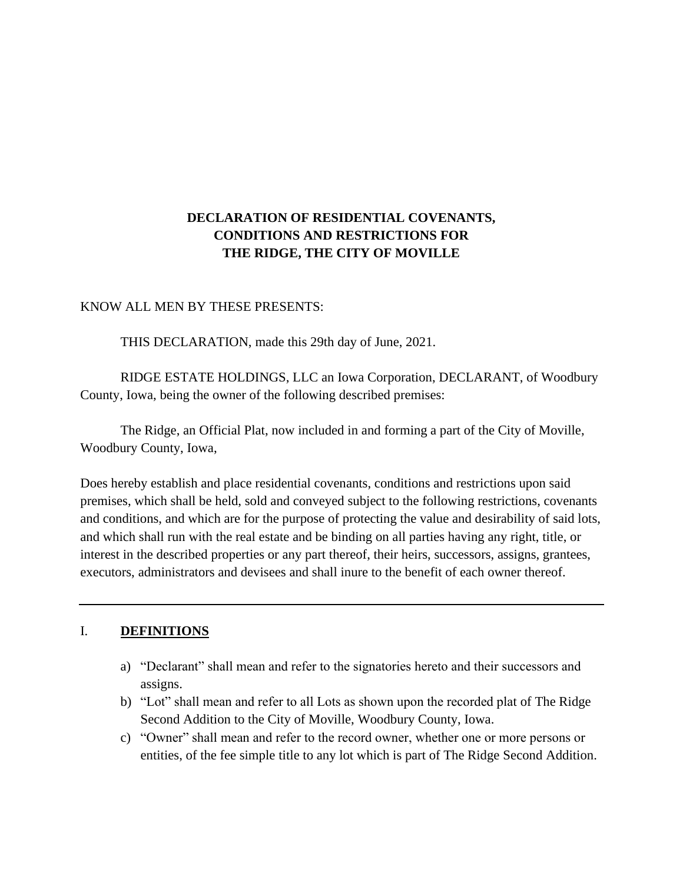# **DECLARATION OF RESIDENTIAL COVENANTS, CONDITIONS AND RESTRICTIONS FOR THE RIDGE, THE CITY OF MOVILLE**

#### KNOW ALL MEN BY THESE PRESENTS:

THIS DECLARATION, made this 29th day of June, 2021.

RIDGE ESTATE HOLDINGS, LLC an Iowa Corporation, DECLARANT, of Woodbury County, Iowa, being the owner of the following described premises:

The Ridge, an Official Plat, now included in and forming a part of the City of Moville, Woodbury County, Iowa,

Does hereby establish and place residential covenants, conditions and restrictions upon said premises, which shall be held, sold and conveyed subject to the following restrictions, covenants and conditions, and which are for the purpose of protecting the value and desirability of said lots, and which shall run with the real estate and be binding on all parties having any right, title, or interest in the described properties or any part thereof, their heirs, successors, assigns, grantees, executors, administrators and devisees and shall inure to the benefit of each owner thereof.

#### I. **DEFINITIONS**

- a) "Declarant" shall mean and refer to the signatories hereto and their successors and assigns.
- b) "Lot" shall mean and refer to all Lots as shown upon the recorded plat of The Ridge Second Addition to the City of Moville, Woodbury County, Iowa.
- c) "Owner" shall mean and refer to the record owner, whether one or more persons or entities, of the fee simple title to any lot which is part of The Ridge Second Addition.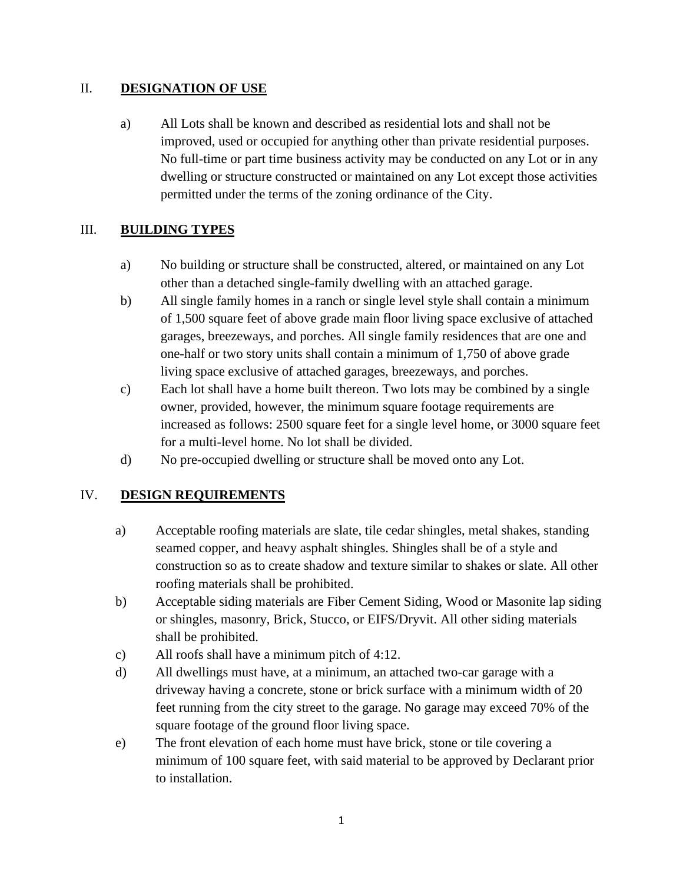## II. **DESIGNATION OF USE**

a) All Lots shall be known and described as residential lots and shall not be improved, used or occupied for anything other than private residential purposes. No full-time or part time business activity may be conducted on any Lot or in any dwelling or structure constructed or maintained on any Lot except those activities permitted under the terms of the zoning ordinance of the City.

# III. **BUILDING TYPES**

- a) No building or structure shall be constructed, altered, or maintained on any Lot other than a detached single-family dwelling with an attached garage.
- b) All single family homes in a ranch or single level style shall contain a minimum of 1,500 square feet of above grade main floor living space exclusive of attached garages, breezeways, and porches. All single family residences that are one and one-half or two story units shall contain a minimum of 1,750 of above grade living space exclusive of attached garages, breezeways, and porches.
- c) Each lot shall have a home built thereon. Two lots may be combined by a single owner, provided, however, the minimum square footage requirements are increased as follows: 2500 square feet for a single level home, or 3000 square feet for a multi-level home. No lot shall be divided.
- d) No pre-occupied dwelling or structure shall be moved onto any Lot.

# IV. **DESIGN REQUIREMENTS**

- a) Acceptable roofing materials are slate, tile cedar shingles, metal shakes, standing seamed copper, and heavy asphalt shingles. Shingles shall be of a style and construction so as to create shadow and texture similar to shakes or slate. All other roofing materials shall be prohibited.
- b) Acceptable siding materials are Fiber Cement Siding, Wood or Masonite lap siding or shingles, masonry, Brick, Stucco, or EIFS/Dryvit. All other siding materials shall be prohibited.
- c) All roofs shall have a minimum pitch of 4:12.
- d) All dwellings must have, at a minimum, an attached two-car garage with a driveway having a concrete, stone or brick surface with a minimum width of 20 feet running from the city street to the garage. No garage may exceed 70% of the square footage of the ground floor living space.
- e) The front elevation of each home must have brick, stone or tile covering a minimum of 100 square feet, with said material to be approved by Declarant prior to installation.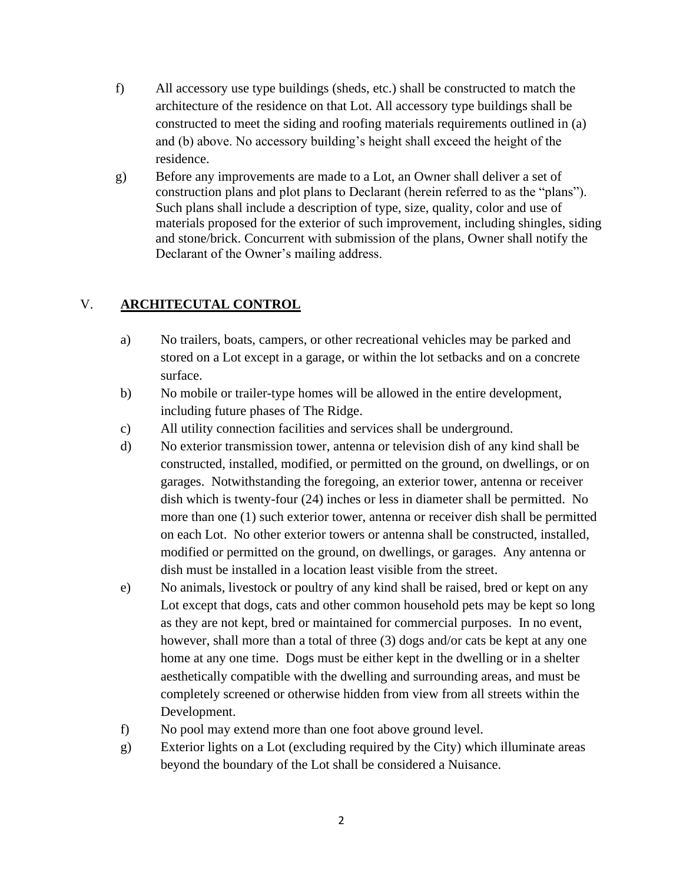- f) All accessory use type buildings (sheds, etc.) shall be constructed to match the architecture of the residence on that Lot. All accessory type buildings shall be constructed to meet the siding and roofing materials requirements outlined in (a) and (b) above. No accessory building's height shall exceed the height of the residence.
- g) Before any improvements are made to a Lot, an Owner shall deliver a set of construction plans and plot plans to Declarant (herein referred to as the "plans"). Such plans shall include a description of type, size, quality, color and use of materials proposed for the exterior of such improvement, including shingles, siding and stone/brick. Concurrent with submission of the plans, Owner shall notify the Declarant of the Owner's mailing address.

# V. **ARCHITECUTAL CONTROL**

- a) No trailers, boats, campers, or other recreational vehicles may be parked and stored on a Lot except in a garage, or within the lot setbacks and on a concrete surface.
- b) No mobile or trailer-type homes will be allowed in the entire development, including future phases of The Ridge.
- c) All utility connection facilities and services shall be underground.
- d) No exterior transmission tower, antenna or television dish of any kind shall be constructed, installed, modified, or permitted on the ground, on dwellings, or on garages. Notwithstanding the foregoing, an exterior tower, antenna or receiver dish which is twenty-four (24) inches or less in diameter shall be permitted. No more than one (1) such exterior tower, antenna or receiver dish shall be permitted on each Lot. No other exterior towers or antenna shall be constructed, installed, modified or permitted on the ground, on dwellings, or garages. Any antenna or dish must be installed in a location least visible from the street.
- e) No animals, livestock or poultry of any kind shall be raised, bred or kept on any Lot except that dogs, cats and other common household pets may be kept so long as they are not kept, bred or maintained for commercial purposes. In no event, however, shall more than a total of three (3) dogs and/or cats be kept at any one home at any one time. Dogs must be either kept in the dwelling or in a shelter aesthetically compatible with the dwelling and surrounding areas, and must be completely screened or otherwise hidden from view from all streets within the Development.
- f) No pool may extend more than one foot above ground level.
- g) Exterior lights on a Lot (excluding required by the City) which illuminate areas beyond the boundary of the Lot shall be considered a Nuisance.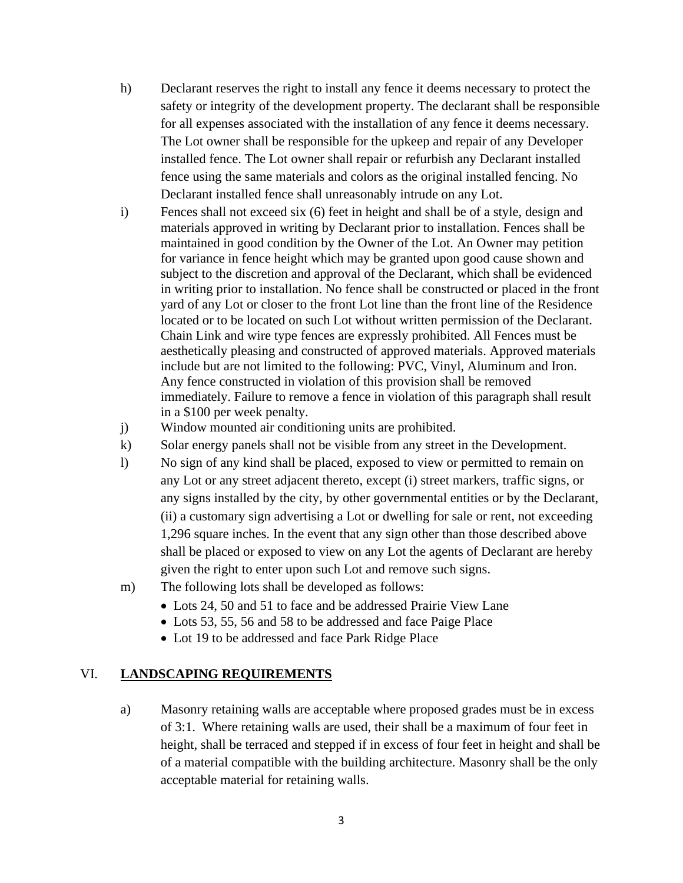- h) Declarant reserves the right to install any fence it deems necessary to protect the safety or integrity of the development property. The declarant shall be responsible for all expenses associated with the installation of any fence it deems necessary. The Lot owner shall be responsible for the upkeep and repair of any Developer installed fence. The Lot owner shall repair or refurbish any Declarant installed fence using the same materials and colors as the original installed fencing. No Declarant installed fence shall unreasonably intrude on any Lot.
- i) Fences shall not exceed six (6) feet in height and shall be of a style, design and materials approved in writing by Declarant prior to installation. Fences shall be maintained in good condition by the Owner of the Lot. An Owner may petition for variance in fence height which may be granted upon good cause shown and subject to the discretion and approval of the Declarant, which shall be evidenced in writing prior to installation. No fence shall be constructed or placed in the front yard of any Lot or closer to the front Lot line than the front line of the Residence located or to be located on such Lot without written permission of the Declarant. Chain Link and wire type fences are expressly prohibited. All Fences must be aesthetically pleasing and constructed of approved materials. Approved materials include but are not limited to the following: PVC, Vinyl, Aluminum and Iron. Any fence constructed in violation of this provision shall be removed immediately. Failure to remove a fence in violation of this paragraph shall result in a \$100 per week penalty.
- j) Window mounted air conditioning units are prohibited.
- k) Solar energy panels shall not be visible from any street in the Development.
- l) No sign of any kind shall be placed, exposed to view or permitted to remain on any Lot or any street adjacent thereto, except (i) street markers, traffic signs, or any signs installed by the city, by other governmental entities or by the Declarant, (ii) a customary sign advertising a Lot or dwelling for sale or rent, not exceeding 1,296 square inches. In the event that any sign other than those described above shall be placed or exposed to view on any Lot the agents of Declarant are hereby given the right to enter upon such Lot and remove such signs.
- m) The following lots shall be developed as follows:
	- Lots 24, 50 and 51 to face and be addressed Prairie View Lane
	- Lots 53, 55, 56 and 58 to be addressed and face Paige Place
	- Lot 19 to be addressed and face Park Ridge Place

## VI. **LANDSCAPING REQUIREMENTS**

a) Masonry retaining walls are acceptable where proposed grades must be in excess of 3:1. Where retaining walls are used, their shall be a maximum of four feet in height, shall be terraced and stepped if in excess of four feet in height and shall be of a material compatible with the building architecture. Masonry shall be the only acceptable material for retaining walls.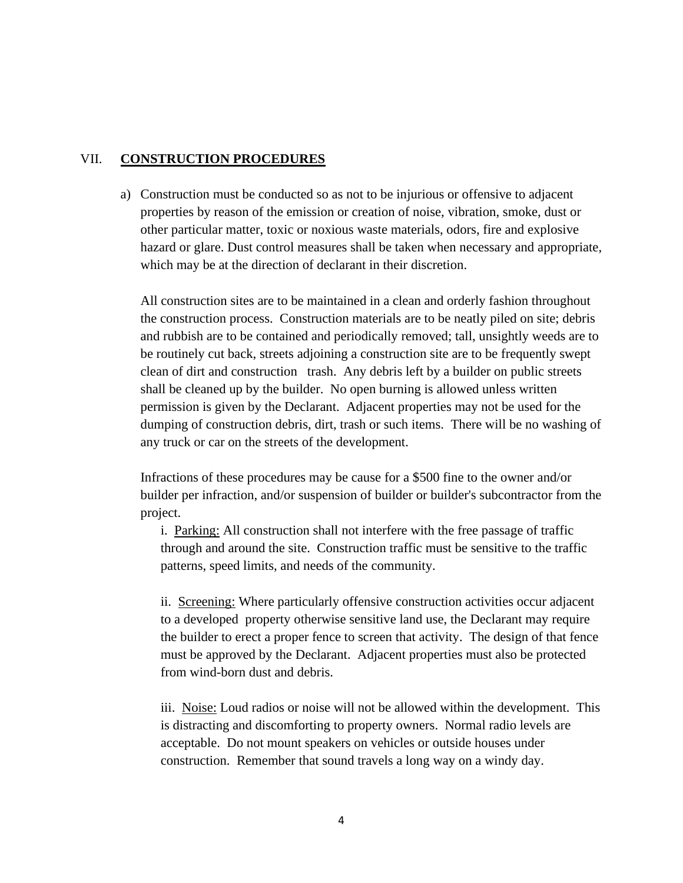### VII. **CONSTRUCTION PROCEDURES**

a) Construction must be conducted so as not to be injurious or offensive to adjacent properties by reason of the emission or creation of noise, vibration, smoke, dust or other particular matter, toxic or noxious waste materials, odors, fire and explosive hazard or glare. Dust control measures shall be taken when necessary and appropriate, which may be at the direction of declarant in their discretion.

All construction sites are to be maintained in a clean and orderly fashion throughout the construction process. Construction materials are to be neatly piled on site; debris and rubbish are to be contained and periodically removed; tall, unsightly weeds are to be routinely cut back, streets adjoining a construction site are to be frequently swept clean of dirt and construction trash. Any debris left by a builder on public streets shall be cleaned up by the builder. No open burning is allowed unless written permission is given by the Declarant. Adjacent properties may not be used for the dumping of construction debris, dirt, trash or such items. There will be no washing of any truck or car on the streets of the development.

Infractions of these procedures may be cause for a \$500 fine to the owner and/or builder per infraction, and/or suspension of builder or builder's subcontractor from the project.

i. Parking: All construction shall not interfere with the free passage of traffic through and around the site. Construction traffic must be sensitive to the traffic patterns, speed limits, and needs of the community.

ii. Screening: Where particularly offensive construction activities occur adjacent to a developed property otherwise sensitive land use, the Declarant may require the builder to erect a proper fence to screen that activity. The design of that fence must be approved by the Declarant. Adjacent properties must also be protected from wind-born dust and debris.

iii. Noise: Loud radios or noise will not be allowed within the development. This is distracting and discomforting to property owners. Normal radio levels are acceptable. Do not mount speakers on vehicles or outside houses under construction. Remember that sound travels a long way on a windy day.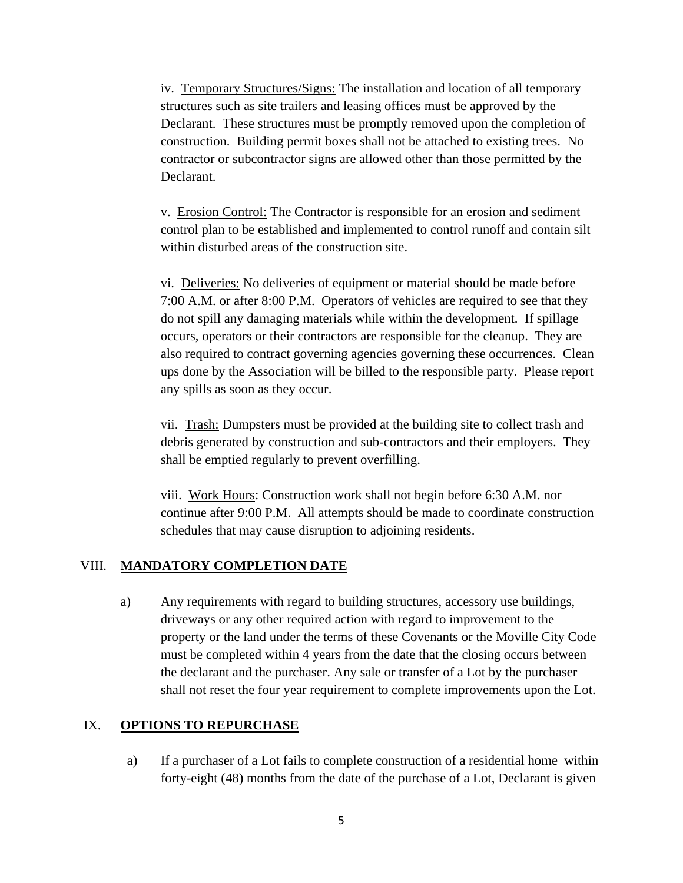iv. Temporary Structures/Signs: The installation and location of all temporary structures such as site trailers and leasing offices must be approved by the Declarant. These structures must be promptly removed upon the completion of construction. Building permit boxes shall not be attached to existing trees. No contractor or subcontractor signs are allowed other than those permitted by the Declarant.

v. Erosion Control: The Contractor is responsible for an erosion and sediment control plan to be established and implemented to control runoff and contain silt within disturbed areas of the construction site.

vi. Deliveries: No deliveries of equipment or material should be made before 7:00 A.M. or after 8:00 P.M. Operators of vehicles are required to see that they do not spill any damaging materials while within the development. If spillage occurs, operators or their contractors are responsible for the cleanup. They are also required to contract governing agencies governing these occurrences. Clean ups done by the Association will be billed to the responsible party. Please report any spills as soon as they occur.

vii. Trash: Dumpsters must be provided at the building site to collect trash and debris generated by construction and sub-contractors and their employers. They shall be emptied regularly to prevent overfilling.

viii. Work Hours: Construction work shall not begin before 6:30 A.M. nor continue after 9:00 P.M. All attempts should be made to coordinate construction schedules that may cause disruption to adjoining residents.

#### VIII. **MANDATORY COMPLETION DATE**

a) Any requirements with regard to building structures, accessory use buildings, driveways or any other required action with regard to improvement to the property or the land under the terms of these Covenants or the Moville City Code must be completed within 4 years from the date that the closing occurs between the declarant and the purchaser. Any sale or transfer of a Lot by the purchaser shall not reset the four year requirement to complete improvements upon the Lot.

#### IX. **OPTIONS TO REPURCHASE**

a) If a purchaser of a Lot fails to complete construction of a residential home within forty-eight (48) months from the date of the purchase of a Lot, Declarant is given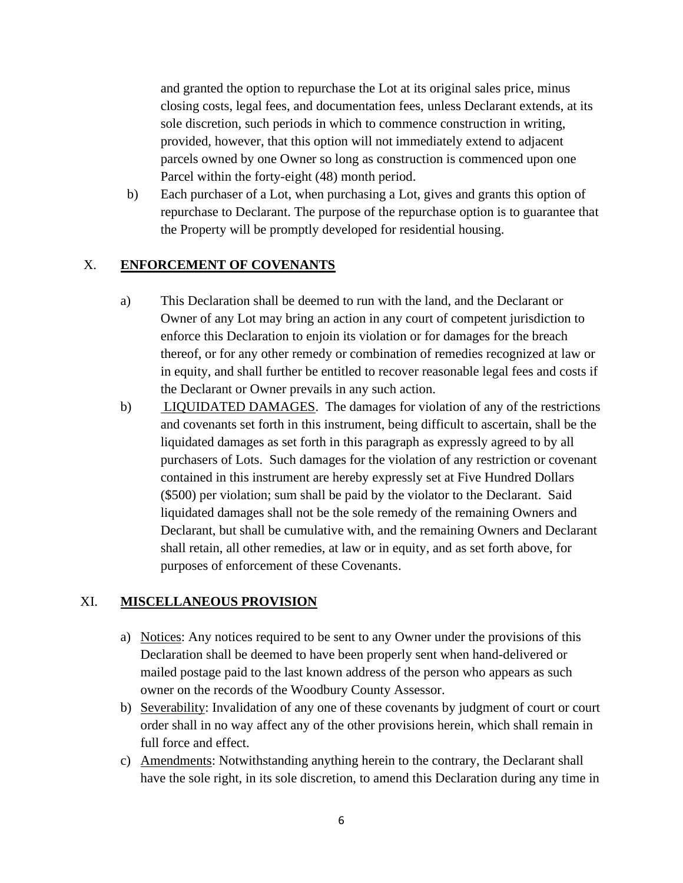and granted the option to repurchase the Lot at its original sales price, minus closing costs, legal fees, and documentation fees, unless Declarant extends, at its sole discretion, such periods in which to commence construction in writing, provided, however, that this option will not immediately extend to adjacent parcels owned by one Owner so long as construction is commenced upon one Parcel within the forty-eight (48) month period.

b) Each purchaser of a Lot, when purchasing a Lot, gives and grants this option of repurchase to Declarant. The purpose of the repurchase option is to guarantee that the Property will be promptly developed for residential housing.

## X. **ENFORCEMENT OF COVENANTS**

- a) This Declaration shall be deemed to run with the land, and the Declarant or Owner of any Lot may bring an action in any court of competent jurisdiction to enforce this Declaration to enjoin its violation or for damages for the breach thereof, or for any other remedy or combination of remedies recognized at law or in equity, and shall further be entitled to recover reasonable legal fees and costs if the Declarant or Owner prevails in any such action.
- b) LIQUIDATED DAMAGES. The damages for violation of any of the restrictions and covenants set forth in this instrument, being difficult to ascertain, shall be the liquidated damages as set forth in this paragraph as expressly agreed to by all purchasers of Lots. Such damages for the violation of any restriction or covenant contained in this instrument are hereby expressly set at Five Hundred Dollars (\$500) per violation; sum shall be paid by the violator to the Declarant. Said liquidated damages shall not be the sole remedy of the remaining Owners and Declarant, but shall be cumulative with, and the remaining Owners and Declarant shall retain, all other remedies, at law or in equity, and as set forth above, for purposes of enforcement of these Covenants.

## XI. **MISCELLANEOUS PROVISION**

- a) Notices: Any notices required to be sent to any Owner under the provisions of this Declaration shall be deemed to have been properly sent when hand-delivered or mailed postage paid to the last known address of the person who appears as such owner on the records of the Woodbury County Assessor.
- b) Severability: Invalidation of any one of these covenants by judgment of court or court order shall in no way affect any of the other provisions herein, which shall remain in full force and effect.
- c) Amendments: Notwithstanding anything herein to the contrary, the Declarant shall have the sole right, in its sole discretion, to amend this Declaration during any time in